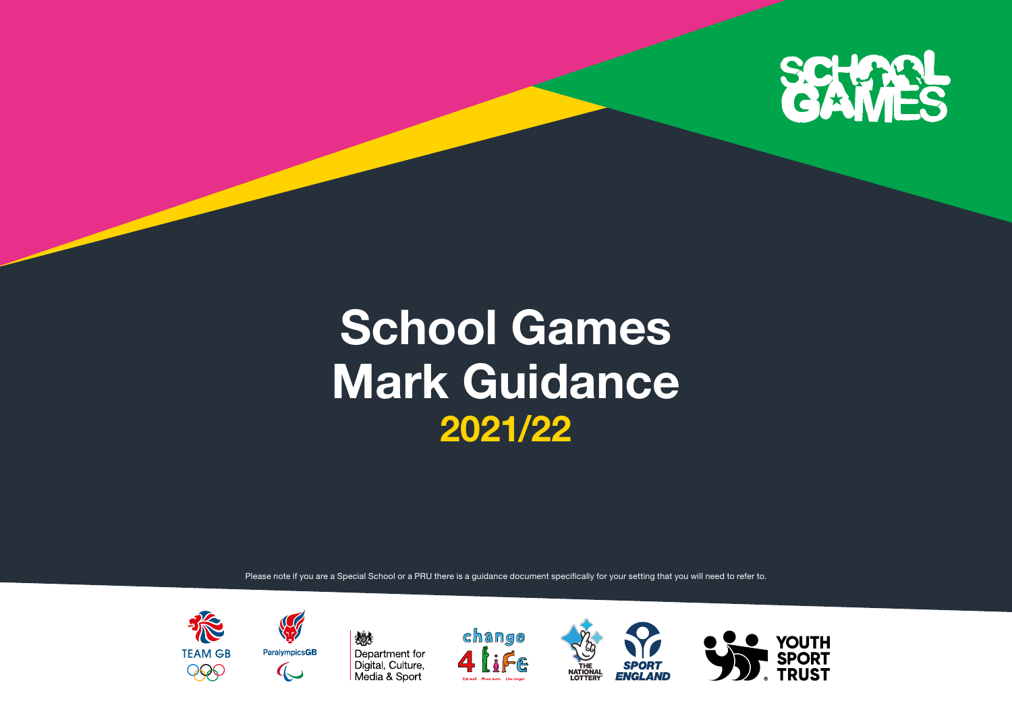

## **School Games Mark Guidance 2021/22**

Please note if you are a Special School or a PRU there is a guidance document specifically for your setting that you will need to refer to.

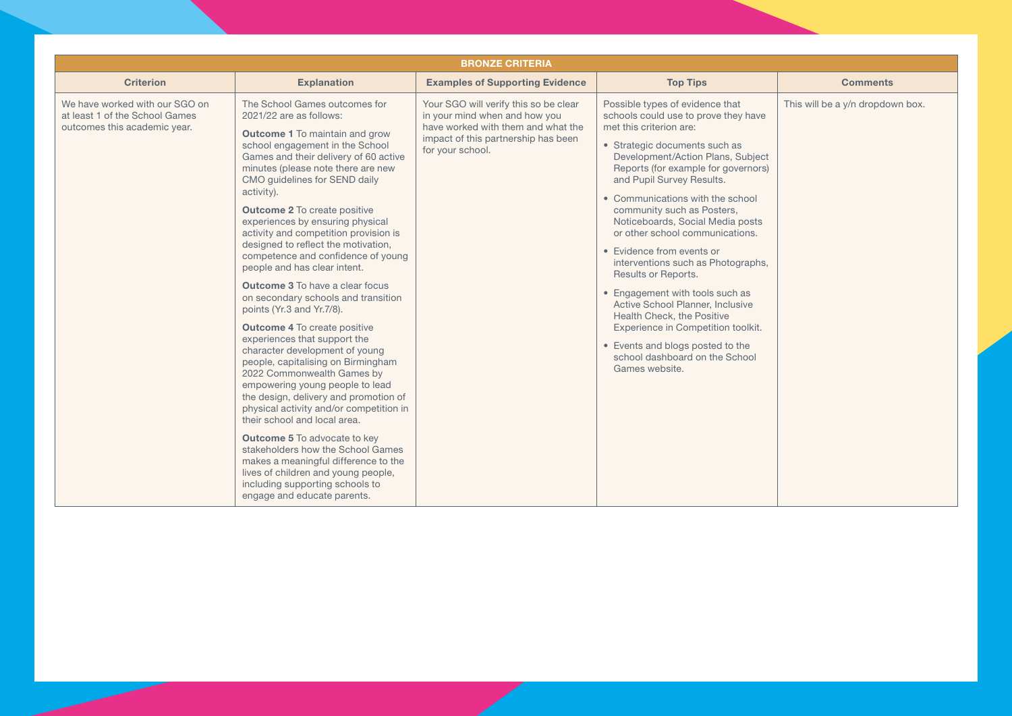| <b>BRONZE CRITERIA</b>                                                                           |                                                                                                                                                                                                                                                                                                                                                                                                                                                                                                                                                                                                                                                                                                                                                                                                                                                                                                                                                                                                                                                                                                                                                                                    |                                                                                                                                                                         |                                                                                                                                                                                                                                                                                                                                                                                                                                                                                                                                                                                                                                                                                                                    |                                  |  |
|--------------------------------------------------------------------------------------------------|------------------------------------------------------------------------------------------------------------------------------------------------------------------------------------------------------------------------------------------------------------------------------------------------------------------------------------------------------------------------------------------------------------------------------------------------------------------------------------------------------------------------------------------------------------------------------------------------------------------------------------------------------------------------------------------------------------------------------------------------------------------------------------------------------------------------------------------------------------------------------------------------------------------------------------------------------------------------------------------------------------------------------------------------------------------------------------------------------------------------------------------------------------------------------------|-------------------------------------------------------------------------------------------------------------------------------------------------------------------------|--------------------------------------------------------------------------------------------------------------------------------------------------------------------------------------------------------------------------------------------------------------------------------------------------------------------------------------------------------------------------------------------------------------------------------------------------------------------------------------------------------------------------------------------------------------------------------------------------------------------------------------------------------------------------------------------------------------------|----------------------------------|--|
| <b>Criterion</b>                                                                                 | <b>Explanation</b>                                                                                                                                                                                                                                                                                                                                                                                                                                                                                                                                                                                                                                                                                                                                                                                                                                                                                                                                                                                                                                                                                                                                                                 | <b>Examples of Supporting Evidence</b>                                                                                                                                  | <b>Top Tips</b>                                                                                                                                                                                                                                                                                                                                                                                                                                                                                                                                                                                                                                                                                                    | <b>Comments</b>                  |  |
| We have worked with our SGO on<br>at least 1 of the School Games<br>outcomes this academic year. | The School Games outcomes for<br>2021/22 are as follows:<br><b>Outcome 1</b> To maintain and grow<br>school engagement in the School<br>Games and their delivery of 60 active<br>minutes (please note there are new<br>CMO guidelines for SEND daily<br>activity).<br><b>Outcome 2</b> To create positive<br>experiences by ensuring physical<br>activity and competition provision is<br>designed to reflect the motivation,<br>competence and confidence of young<br>people and has clear intent.<br><b>Outcome 3</b> To have a clear focus<br>on secondary schools and transition<br>points (Yr.3 and Yr.7/8).<br><b>Outcome 4 To create positive</b><br>experiences that support the<br>character development of young<br>people, capitalising on Birmingham<br>2022 Commonwealth Games by<br>empowering young people to lead<br>the design, delivery and promotion of<br>physical activity and/or competition in<br>their school and local area.<br><b>Outcome 5</b> To advocate to key<br>stakeholders how the School Games<br>makes a meaningful difference to the<br>lives of children and young people,<br>including supporting schools to<br>engage and educate parents. | Your SGO will verify this so be clear<br>in your mind when and how you<br>have worked with them and what the<br>impact of this partnership has been<br>for your school. | Possible types of evidence that<br>schools could use to prove they have<br>met this criterion are:<br>• Strategic documents such as<br>Development/Action Plans, Subject<br>Reports (for example for governors)<br>and Pupil Survey Results.<br>• Communications with the school<br>community such as Posters,<br>Noticeboards, Social Media posts<br>or other school communications.<br>• Evidence from events or<br>interventions such as Photographs,<br>Results or Reports.<br>• Engagement with tools such as<br>Active School Planner, Inclusive<br>Health Check, the Positive<br>Experience in Competition toolkit.<br>• Events and blogs posted to the<br>school dashboard on the School<br>Games website. | This will be a y/n dropdown box. |  |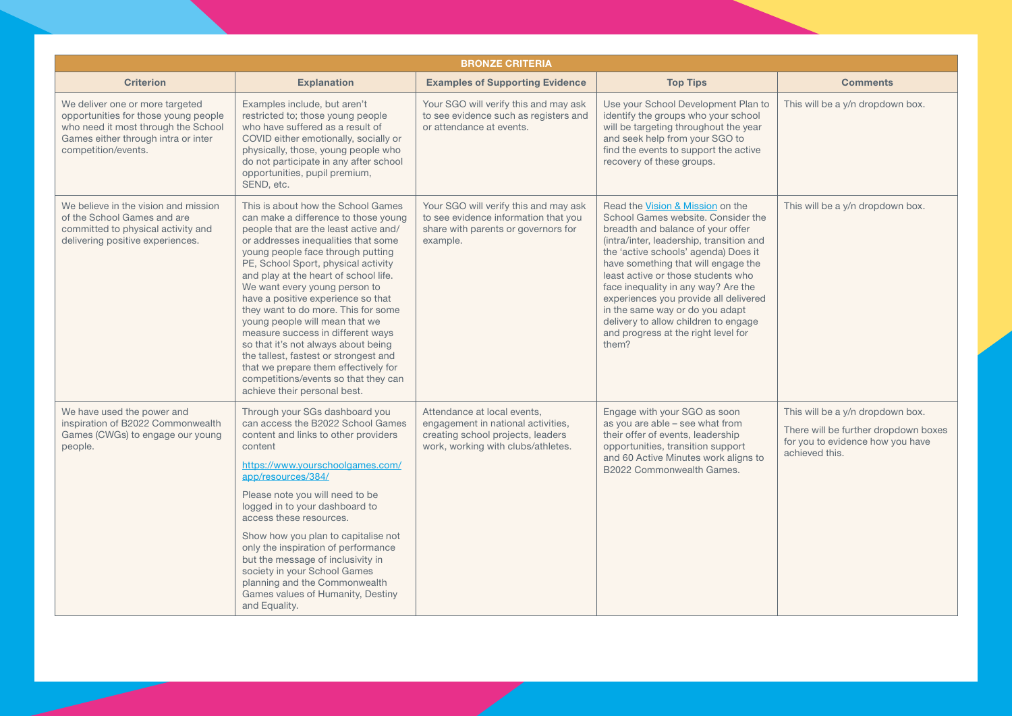| <b>BRONZE CRITERIA</b>                                                                                                                                                       |                                                                                                                                                                                                                                                                                                                                                                                                                                                                                                                                                                                                                                                                      |                                                                                                                                              |                                                                                                                                                                                                                                                                                                                                                                                                                                                                                         |                                                                                                                                |
|------------------------------------------------------------------------------------------------------------------------------------------------------------------------------|----------------------------------------------------------------------------------------------------------------------------------------------------------------------------------------------------------------------------------------------------------------------------------------------------------------------------------------------------------------------------------------------------------------------------------------------------------------------------------------------------------------------------------------------------------------------------------------------------------------------------------------------------------------------|----------------------------------------------------------------------------------------------------------------------------------------------|-----------------------------------------------------------------------------------------------------------------------------------------------------------------------------------------------------------------------------------------------------------------------------------------------------------------------------------------------------------------------------------------------------------------------------------------------------------------------------------------|--------------------------------------------------------------------------------------------------------------------------------|
| <b>Criterion</b>                                                                                                                                                             | <b>Explanation</b>                                                                                                                                                                                                                                                                                                                                                                                                                                                                                                                                                                                                                                                   | <b>Examples of Supporting Evidence</b>                                                                                                       | <b>Top Tips</b>                                                                                                                                                                                                                                                                                                                                                                                                                                                                         | <b>Comments</b>                                                                                                                |
| We deliver one or more targeted<br>opportunities for those young people<br>who need it most through the School<br>Games either through intra or inter<br>competition/events. | Examples include, but aren't<br>restricted to; those young people<br>who have suffered as a result of<br>COVID either emotionally, socially or<br>physically, those, young people who<br>do not participate in any after school<br>opportunities, pupil premium,<br>SEND, etc.                                                                                                                                                                                                                                                                                                                                                                                       | Your SGO will verify this and may ask<br>to see evidence such as registers and<br>or attendance at events.                                   | Use your School Development Plan to<br>identify the groups who your school<br>will be targeting throughout the year<br>and seek help from your SGO to<br>find the events to support the active<br>recovery of these groups.                                                                                                                                                                                                                                                             | This will be a y/n dropdown box.                                                                                               |
| We believe in the vision and mission<br>of the School Games and are<br>committed to physical activity and<br>delivering positive experiences.                                | This is about how the School Games<br>can make a difference to those young<br>people that are the least active and/<br>or addresses inequalities that some<br>young people face through putting<br>PE, School Sport, physical activity<br>and play at the heart of school life.<br>We want every young person to<br>have a positive experience so that<br>they want to do more. This for some<br>young people will mean that we<br>measure success in different ways<br>so that it's not always about being<br>the tallest, fastest or strongest and<br>that we prepare them effectively for<br>competitions/events so that they can<br>achieve their personal best. | Your SGO will verify this and may ask<br>to see evidence information that you<br>share with parents or governors for<br>example.             | Read the Vision & Mission on the<br>School Games website, Consider the<br>breadth and balance of your offer<br>(intra/inter, leadership, transition and<br>the 'active schools' agenda) Does it<br>have something that will engage the<br>least active or those students who<br>face inequality in any way? Are the<br>experiences you provide all delivered<br>in the same way or do you adapt<br>delivery to allow children to engage<br>and progress at the right level for<br>them? | This will be a y/n dropdown box.                                                                                               |
| We have used the power and<br>inspiration of B2022 Commonwealth<br>Games (CWGs) to engage our young<br>people.                                                               | Through your SGs dashboard you<br>can access the B2022 School Games<br>content and links to other providers<br>content<br>https://www.yourschoolgames.com/<br>app/resources/384/<br>Please note you will need to be<br>logged in to your dashboard to<br>access these resources.<br>Show how you plan to capitalise not<br>only the inspiration of performance<br>but the message of inclusivity in<br>society in your School Games<br>planning and the Commonwealth<br>Games values of Humanity, Destiny<br>and Equality.                                                                                                                                           | Attendance at local events.<br>engagement in national activities,<br>creating school projects, leaders<br>work, working with clubs/athletes. | Engage with your SGO as soon<br>as you are able - see what from<br>their offer of events, leadership<br>opportunities, transition support<br>and 60 Active Minutes work aligns to<br>B2022 Commonwealth Games.                                                                                                                                                                                                                                                                          | This will be a y/n dropdown box.<br>There will be further dropdown boxes<br>for you to evidence how you have<br>achieved this. |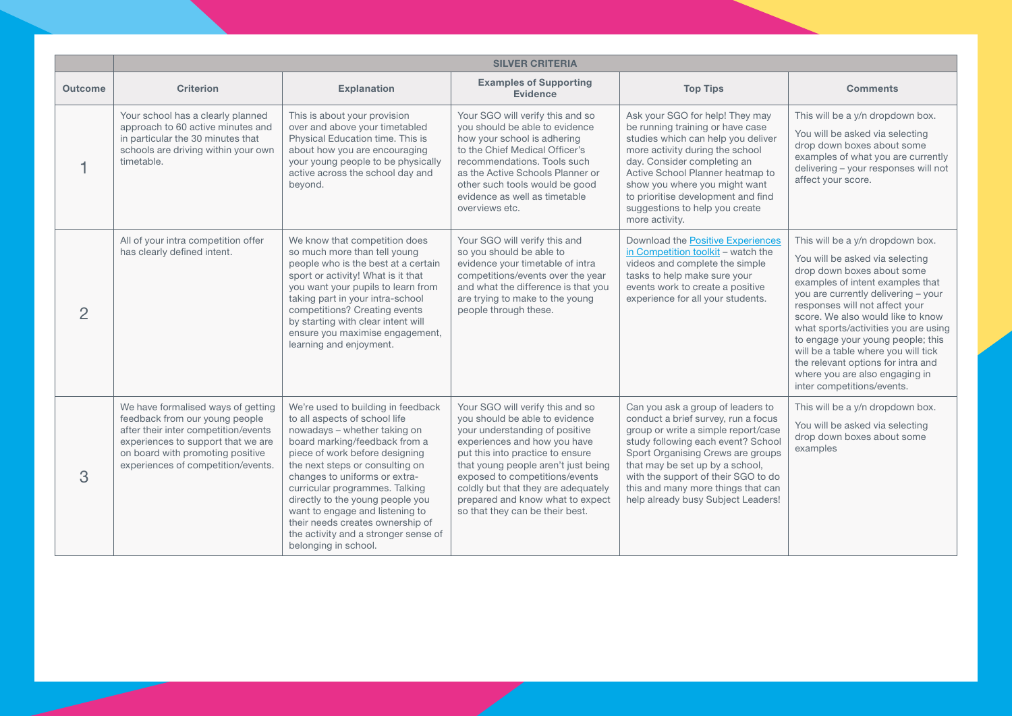|                | <b>SILVER CRITERIA</b>                                                                                                                                                                                                       |                                                                                                                                                                                                                                                                                                                                                                                                                                                         |                                                                                                                                                                                                                                                                                                                                                                 |                                                                                                                                                                                                                                                                                                                                                  |                                                                                                                                                                                                                                                                                                                                                                                                                                                                               |
|----------------|------------------------------------------------------------------------------------------------------------------------------------------------------------------------------------------------------------------------------|---------------------------------------------------------------------------------------------------------------------------------------------------------------------------------------------------------------------------------------------------------------------------------------------------------------------------------------------------------------------------------------------------------------------------------------------------------|-----------------------------------------------------------------------------------------------------------------------------------------------------------------------------------------------------------------------------------------------------------------------------------------------------------------------------------------------------------------|--------------------------------------------------------------------------------------------------------------------------------------------------------------------------------------------------------------------------------------------------------------------------------------------------------------------------------------------------|-------------------------------------------------------------------------------------------------------------------------------------------------------------------------------------------------------------------------------------------------------------------------------------------------------------------------------------------------------------------------------------------------------------------------------------------------------------------------------|
| <b>Outcome</b> | <b>Criterion</b>                                                                                                                                                                                                             | <b>Explanation</b>                                                                                                                                                                                                                                                                                                                                                                                                                                      | <b>Examples of Supporting</b><br><b>Evidence</b>                                                                                                                                                                                                                                                                                                                | <b>Top Tips</b>                                                                                                                                                                                                                                                                                                                                  | <b>Comments</b>                                                                                                                                                                                                                                                                                                                                                                                                                                                               |
|                | Your school has a clearly planned<br>approach to 60 active minutes and<br>in particular the 30 minutes that<br>schools are driving within your own<br>timetable.                                                             | This is about your provision<br>over and above your timetabled<br>Physical Education time. This is<br>about how you are encouraging<br>your young people to be physically<br>active across the school day and<br>beyond.                                                                                                                                                                                                                                | Your SGO will verify this and so<br>you should be able to evidence<br>how your school is adhering<br>to the Chief Medical Officer's<br>recommendations. Tools such<br>as the Active Schools Planner or<br>other such tools would be good<br>evidence as well as timetable<br>overviews etc.                                                                     | Ask your SGO for help! They may<br>be running training or have case<br>studies which can help you deliver<br>more activity during the school<br>day. Consider completing an<br>Active School Planner heatmap to<br>show you where you might want<br>to prioritise development and find<br>suggestions to help you create<br>more activity.       | This will be a y/n dropdown box.<br>You will be asked via selecting<br>drop down boxes about some<br>examples of what you are currently<br>delivering - your responses will not<br>affect your score.                                                                                                                                                                                                                                                                         |
| $\overline{2}$ | All of your intra competition offer<br>has clearly defined intent.                                                                                                                                                           | We know that competition does<br>so much more than tell young<br>people who is the best at a certain<br>sport or activity! What is it that<br>you want your pupils to learn from<br>taking part in your intra-school<br>competitions? Creating events<br>by starting with clear intent will<br>ensure you maximise engagement,<br>learning and enjoyment.                                                                                               | Your SGO will verify this and<br>so you should be able to<br>evidence your timetable of intra<br>competitions/events over the year<br>and what the difference is that you<br>are trying to make to the young<br>people through these.                                                                                                                           | Download the Positive Experiences<br>in Competition toolkit – watch the<br>videos and complete the simple<br>tasks to help make sure your<br>events work to create a positive<br>experience for all your students.                                                                                                                               | This will be a y/n dropdown box.<br>You will be asked via selecting<br>drop down boxes about some<br>examples of intent examples that<br>you are currently delivering - your<br>responses will not affect your<br>score. We also would like to know<br>what sports/activities you are using<br>to engage your young people; this<br>will be a table where you will tick<br>the relevant options for intra and<br>where you are also engaging in<br>inter competitions/events. |
| 3              | We have formalised ways of getting<br>feedback from our young people<br>after their inter competition/events<br>experiences to support that we are<br>on board with promoting positive<br>experiences of competition/events. | We're used to building in feedback<br>to all aspects of school life<br>nowadays - whether taking on<br>board marking/feedback from a<br>piece of work before designing<br>the next steps or consulting on<br>changes to uniforms or extra-<br>curricular programmes. Talking<br>directly to the young people you<br>want to engage and listening to<br>their needs creates ownership of<br>the activity and a stronger sense of<br>belonging in school. | Your SGO will verify this and so<br>vou should be able to evidence<br>your understanding of positive<br>experiences and how you have<br>put this into practice to ensure<br>that young people aren't just being<br>exposed to competitions/events<br>coldly but that they are adequately<br>prepared and know what to expect<br>so that they can be their best. | Can you ask a group of leaders to<br>conduct a brief survey, run a focus<br>group or write a simple report/case<br>study following each event? School<br>Sport Organising Crews are groups<br>that may be set up by a school,<br>with the support of their SGO to do<br>this and many more things that can<br>help already busy Subject Leaders! | This will be a y/n dropdown box.<br>You will be asked via selecting<br>drop down boxes about some<br>examples                                                                                                                                                                                                                                                                                                                                                                 |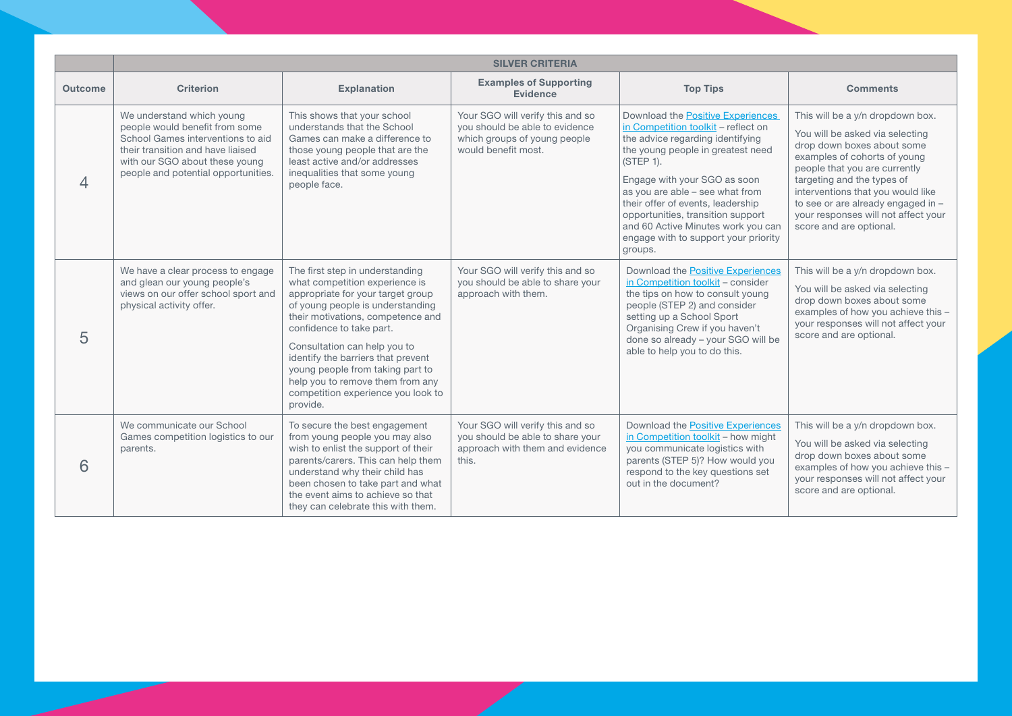|                | <b>SILVER CRITERIA</b>                                                                                                                                                                                         |                                                                                                                                                                                                                                                                                                                                                                                                             |                                                                                                                           |                                                                                                                                                                                                                                                                                                                                                                                                      |                                                                                                                                                                                                                                                                                                                                               |
|----------------|----------------------------------------------------------------------------------------------------------------------------------------------------------------------------------------------------------------|-------------------------------------------------------------------------------------------------------------------------------------------------------------------------------------------------------------------------------------------------------------------------------------------------------------------------------------------------------------------------------------------------------------|---------------------------------------------------------------------------------------------------------------------------|------------------------------------------------------------------------------------------------------------------------------------------------------------------------------------------------------------------------------------------------------------------------------------------------------------------------------------------------------------------------------------------------------|-----------------------------------------------------------------------------------------------------------------------------------------------------------------------------------------------------------------------------------------------------------------------------------------------------------------------------------------------|
| <b>Outcome</b> | <b>Criterion</b>                                                                                                                                                                                               | <b>Explanation</b>                                                                                                                                                                                                                                                                                                                                                                                          | <b>Examples of Supporting</b><br><b>Evidence</b>                                                                          | <b>Top Tips</b>                                                                                                                                                                                                                                                                                                                                                                                      | <b>Comments</b>                                                                                                                                                                                                                                                                                                                               |
| 4              | We understand which young<br>people would benefit from some<br>School Games interventions to aid<br>their transition and have liaised<br>with our SGO about these young<br>people and potential opportunities. | This shows that your school<br>understands that the School<br>Games can make a difference to<br>those young people that are the<br>least active and/or addresses<br>inequalities that some young<br>people face.                                                                                                                                                                                            | Your SGO will verify this and so<br>vou should be able to evidence<br>which groups of young people<br>would benefit most. | Download the Positive Experiences<br>in Competition toolkit - reflect on<br>the advice regarding identifying<br>the young people in greatest need<br>(STEP 1).<br>Engage with your SGO as soon<br>as you are able - see what from<br>their offer of events, leadership<br>opportunities, transition support<br>and 60 Active Minutes work you can<br>engage with to support your priority<br>groups. | This will be a y/n dropdown box.<br>You will be asked via selecting<br>drop down boxes about some<br>examples of cohorts of young<br>people that you are currently<br>targeting and the types of<br>interventions that you would like<br>to see or are already engaged in -<br>your responses will not affect your<br>score and are optional. |
| 5              | We have a clear process to engage<br>and glean our young people's<br>views on our offer school sport and<br>physical activity offer.                                                                           | The first step in understanding<br>what competition experience is<br>appropriate for your target group<br>of young people is understanding<br>their motivations, competence and<br>confidence to take part.<br>Consultation can help you to<br>identify the barriers that prevent<br>young people from taking part to<br>help you to remove them from any<br>competition experience you look to<br>provide. | Your SGO will verify this and so<br>you should be able to share your<br>approach with them.                               | Download the Positive Experiences<br>in Competition toolkit - consider<br>the tips on how to consult young<br>people (STEP 2) and consider<br>setting up a School Sport<br>Organising Crew if you haven't<br>done so already - your SGO will be<br>able to help you to do this.                                                                                                                      | This will be a y/n dropdown box.<br>You will be asked via selecting<br>drop down boxes about some<br>examples of how you achieve this -<br>your responses will not affect your<br>score and are optional.                                                                                                                                     |
| 6              | We communicate our School<br>Games competition logistics to our<br>parents.                                                                                                                                    | To secure the best engagement<br>from young people you may also<br>wish to enlist the support of their<br>parents/carers. This can help them<br>understand why their child has<br>been chosen to take part and what<br>the event aims to achieve so that<br>they can celebrate this with them.                                                                                                              | Your SGO will verify this and so<br>you should be able to share your<br>approach with them and evidence<br>this.          | Download the Positive Experiences<br>in Competition toolkit - how might<br>you communicate logistics with<br>parents (STEP 5)? How would you<br>respond to the key questions set<br>out in the document?                                                                                                                                                                                             | This will be a y/n dropdown box.<br>You will be asked via selecting<br>drop down boxes about some<br>examples of how you achieve this -<br>your responses will not affect your<br>score and are optional.                                                                                                                                     |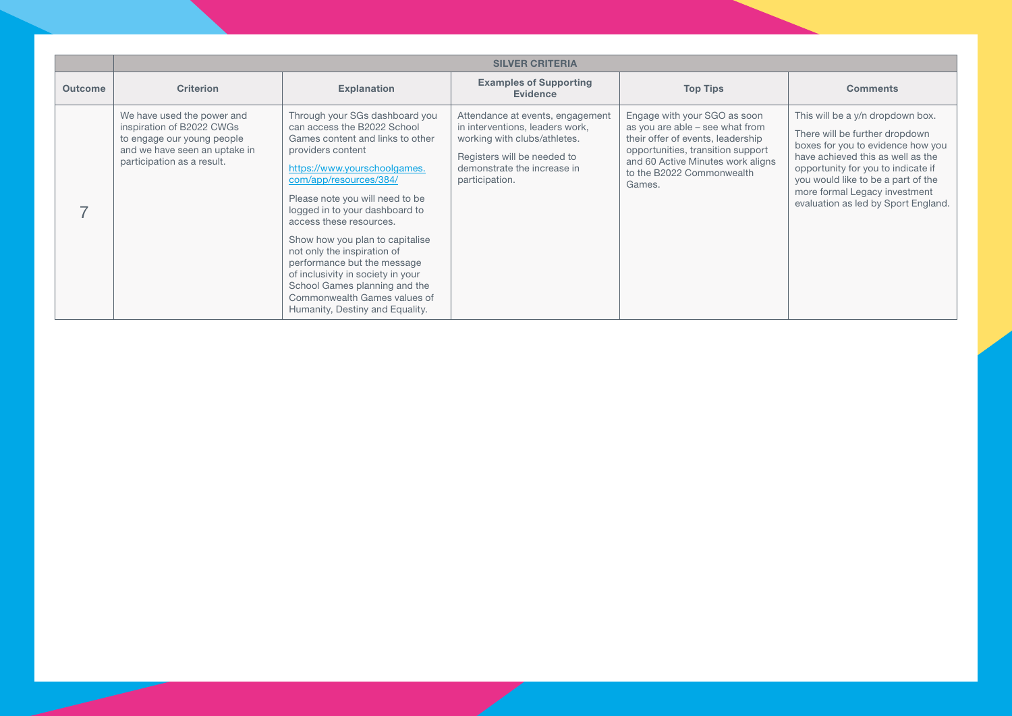|                | <b>SILVER CRITERIA</b>                                                                                                                               |                                                                                                                                                                                                                                                                                                                                                                                                                                                                                                                            |                                                                                                                                                                                     |                                                                                                                                                                                                                       |                                                                                                                                                                                                                                                                                                  |
|----------------|------------------------------------------------------------------------------------------------------------------------------------------------------|----------------------------------------------------------------------------------------------------------------------------------------------------------------------------------------------------------------------------------------------------------------------------------------------------------------------------------------------------------------------------------------------------------------------------------------------------------------------------------------------------------------------------|-------------------------------------------------------------------------------------------------------------------------------------------------------------------------------------|-----------------------------------------------------------------------------------------------------------------------------------------------------------------------------------------------------------------------|--------------------------------------------------------------------------------------------------------------------------------------------------------------------------------------------------------------------------------------------------------------------------------------------------|
| <b>Outcome</b> | <b>Criterion</b>                                                                                                                                     | <b>Explanation</b>                                                                                                                                                                                                                                                                                                                                                                                                                                                                                                         | <b>Examples of Supporting</b><br><b>Evidence</b>                                                                                                                                    | <b>Top Tips</b>                                                                                                                                                                                                       | <b>Comments</b>                                                                                                                                                                                                                                                                                  |
|                | We have used the power and<br>inspiration of B2022 CWGs<br>to engage our young people<br>and we have seen an uptake in<br>participation as a result. | Through your SGs dashboard you<br>can access the B2022 School<br>Games content and links to other<br>providers content<br>https://www.yourschoolgames.<br>com/app/resources/384/<br>Please note you will need to be<br>logged in to your dashboard to<br>access these resources.<br>Show how you plan to capitalise<br>not only the inspiration of<br>performance but the message<br>of inclusivity in society in your<br>School Games planning and the<br>Commonwealth Games values of<br>Humanity, Destiny and Equality. | Attendance at events, engagement<br>in interventions, leaders work,<br>working with clubs/athletes.<br>Registers will be needed to<br>demonstrate the increase in<br>participation. | Engage with your SGO as soon<br>as you are able – see what from<br>their offer of events, leadership<br>opportunities, transition support<br>and 60 Active Minutes work aligns<br>to the B2022 Commonwealth<br>Games. | This will be a y/n dropdown box.<br>There will be further dropdown<br>boxes for you to evidence how you<br>have achieved this as well as the<br>opportunity for you to indicate if<br>you would like to be a part of the<br>more formal Legacy investment<br>evaluation as led by Sport England. |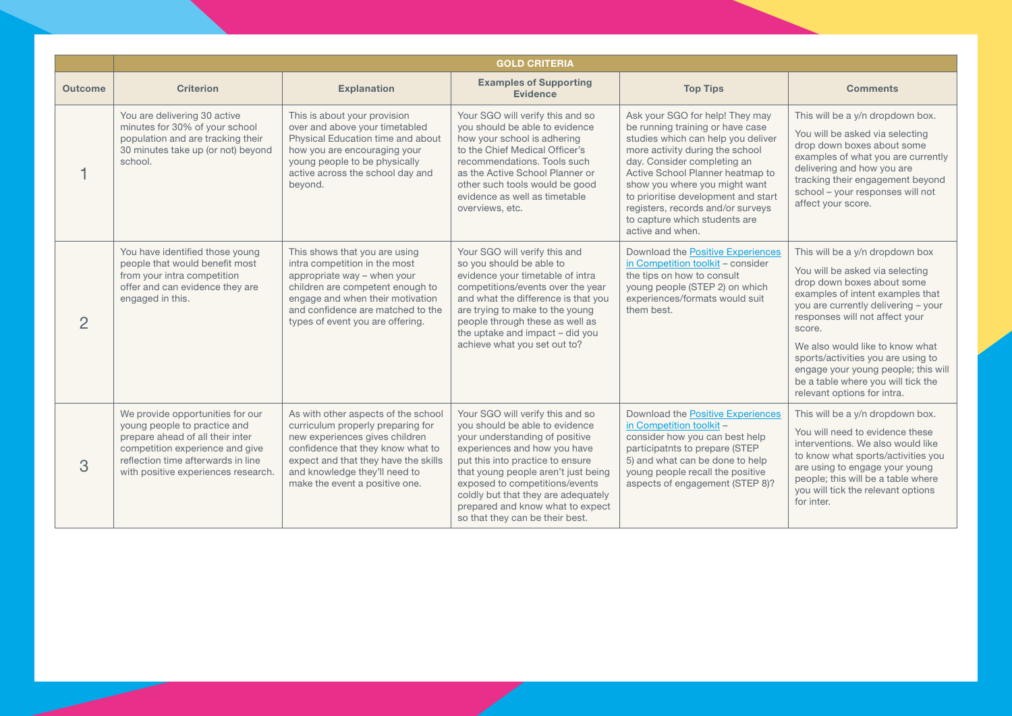|                | <b>GOLD CRITERIA</b>                                                                                                                                                                                                 |                                                                                                                                                                                                                                                            |                                                                                                                                                                                                                                                                                                                                                                 |                                                                                                                                                                                                                                                                                                                                                                                   |                                                                                                                                                                                                                                                                                                                                                                                                              |
|----------------|----------------------------------------------------------------------------------------------------------------------------------------------------------------------------------------------------------------------|------------------------------------------------------------------------------------------------------------------------------------------------------------------------------------------------------------------------------------------------------------|-----------------------------------------------------------------------------------------------------------------------------------------------------------------------------------------------------------------------------------------------------------------------------------------------------------------------------------------------------------------|-----------------------------------------------------------------------------------------------------------------------------------------------------------------------------------------------------------------------------------------------------------------------------------------------------------------------------------------------------------------------------------|--------------------------------------------------------------------------------------------------------------------------------------------------------------------------------------------------------------------------------------------------------------------------------------------------------------------------------------------------------------------------------------------------------------|
| <b>Outcome</b> | <b>Criterion</b>                                                                                                                                                                                                     | <b>Explanation</b>                                                                                                                                                                                                                                         | <b>Examples of Supporting</b><br><b>Evidence</b>                                                                                                                                                                                                                                                                                                                | <b>Top Tips</b>                                                                                                                                                                                                                                                                                                                                                                   | <b>Comments</b>                                                                                                                                                                                                                                                                                                                                                                                              |
|                | You are delivering 30 active<br>minutes for 30% of your school<br>population and are tracking their<br>30 minutes take up (or not) beyond<br>school.                                                                 | This is about your provision<br>over and above your timetabled<br>Physical Education time and about<br>how you are encouraging your<br>young people to be physically<br>active across the school day and<br>beyond.                                        | Your SGO will verify this and so<br>you should be able to evidence<br>how your school is adhering<br>to the Chief Medical Officer's<br>recommendations. Tools such<br>as the Active School Planner or<br>other such tools would be good<br>evidence as well as timetable<br>overviews, etc.                                                                     | Ask your SGO for help! They may<br>be running training or have case<br>studies which can help you deliver<br>more activity during the school<br>day. Consider completing an<br>Active School Planner heatmap to<br>show you where you might want<br>to prioritise development and start<br>registers, records and/or surveys<br>to capture which students are<br>active and when. | This will be a y/n dropdown box.<br>You will be asked via selecting<br>drop down boxes about some<br>examples of what you are currently<br>delivering and how you are<br>tracking their engagement beyond<br>school - your responses will not<br>affect your score.                                                                                                                                          |
| $\overline{2}$ | You have identified those young<br>people that would benefit most<br>from your intra competition<br>offer and can evidence they are<br>engaged in this.                                                              | This shows that you are using<br>intra competition in the most<br>appropriate way - when your<br>children are competent enough to<br>engage and when their motivation<br>and confidence are matched to the<br>types of event you are offering.             | Your SGO will verify this and<br>so you should be able to<br>evidence your timetable of intra<br>competitions/events over the year<br>and what the difference is that you<br>are trying to make to the young<br>people through these as well as<br>the uptake and impact - did you<br>achieve what you set out to?                                              | Download the Positive Experiences<br>in Competition toolkit - consider<br>the tips on how to consult<br>young people (STEP 2) on which<br>experiences/formats would suit<br>them best.                                                                                                                                                                                            | This will be a y/n dropdown box<br>You will be asked via selecting<br>drop down boxes about some<br>examples of intent examples that<br>you are currently delivering - your<br>responses will not affect your<br>score.<br>We also would like to know what<br>sports/activities you are using to<br>engage your young people; this will<br>be a table where you will tick the<br>relevant options for intra. |
| 3              | We provide opportunities for our<br>young people to practice and<br>prepare ahead of all their inter<br>competition experience and give<br>reflection time afterwards in line<br>with positive experiences research. | As with other aspects of the school<br>curriculum properly preparing for<br>new experiences gives children<br>confidence that they know what to<br>expect and that they have the skills<br>and knowledge they'll need to<br>make the event a positive one. | Your SGO will verify this and so<br>you should be able to evidence<br>your understanding of positive<br>experiences and how you have<br>put this into practice to ensure<br>that young people aren't just being<br>exposed to competitions/events<br>coldly but that they are adequately<br>prepared and know what to expect<br>so that they can be their best. | Download the Positive Experiences<br>in Competition toolkit -<br>consider how you can best help<br>participatnts to prepare (STEP<br>5) and what can be done to help<br>young people recall the positive<br>aspects of engagement (STEP 8)?                                                                                                                                       | This will be a y/n dropdown box.<br>You will need to evidence these<br>interventions. We also would like<br>to know what sports/activities you<br>are using to engage your young<br>people; this will be a table where<br>you will tick the relevant options<br>for inter.                                                                                                                                   |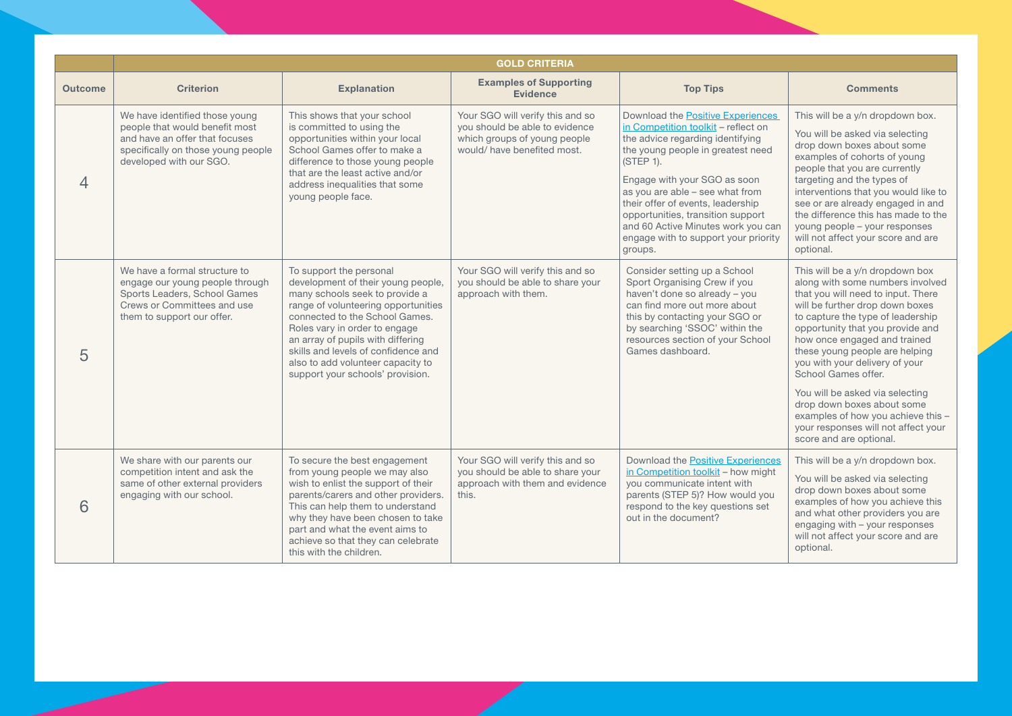|                | <b>GOLD CRITERIA</b>                                                                                                                                                |                                                                                                                                                                                                                                                                                                                                                                |                                                                                                                                   |                                                                                                                                                                                                                                                                                                                                                                                                      |                                                                                                                                                                                                                                                                                                                                                                                                                                                                                                                           |
|----------------|---------------------------------------------------------------------------------------------------------------------------------------------------------------------|----------------------------------------------------------------------------------------------------------------------------------------------------------------------------------------------------------------------------------------------------------------------------------------------------------------------------------------------------------------|-----------------------------------------------------------------------------------------------------------------------------------|------------------------------------------------------------------------------------------------------------------------------------------------------------------------------------------------------------------------------------------------------------------------------------------------------------------------------------------------------------------------------------------------------|---------------------------------------------------------------------------------------------------------------------------------------------------------------------------------------------------------------------------------------------------------------------------------------------------------------------------------------------------------------------------------------------------------------------------------------------------------------------------------------------------------------------------|
| <b>Outcome</b> | <b>Criterion</b>                                                                                                                                                    | <b>Explanation</b>                                                                                                                                                                                                                                                                                                                                             | <b>Examples of Supporting</b><br><b>Evidence</b>                                                                                  | <b>Top Tips</b>                                                                                                                                                                                                                                                                                                                                                                                      | <b>Comments</b>                                                                                                                                                                                                                                                                                                                                                                                                                                                                                                           |
| $\overline{4}$ | We have identified those young<br>people that would benefit most<br>and have an offer that focuses<br>specifically on those young people<br>developed with our SGO. | This shows that your school<br>is committed to using the<br>opportunities within your local<br>School Games offer to make a<br>difference to those young people<br>that are the least active and/or<br>address inequalities that some<br>young people face.                                                                                                    | Your SGO will verify this and so<br>you should be able to evidence<br>which groups of young people<br>would/ have benefited most. | Download the Positive Experiences<br>in Competition toolkit - reflect on<br>the advice regarding identifying<br>the young people in greatest need<br>(STEP 1).<br>Engage with your SGO as soon<br>as you are able - see what from<br>their offer of events, leadership<br>opportunities, transition support<br>and 60 Active Minutes work you can<br>engage with to support your priority<br>groups. | This will be a y/n dropdown box.<br>You will be asked via selecting<br>drop down boxes about some<br>examples of cohorts of young<br>people that you are currently<br>targeting and the types of<br>interventions that you would like to<br>see or are already engaged in and<br>the difference this has made to the<br>young people - your responses<br>will not affect your score and are<br>optional.                                                                                                                  |
| 5              | We have a formal structure to<br>engage our young people through<br>Sports Leaders, School Games<br>Crews or Committees and use<br>them to support our offer.       | To support the personal<br>development of their young people,<br>many schools seek to provide a<br>range of volunteering opportunities<br>connected to the School Games.<br>Roles vary in order to engage<br>an array of pupils with differing<br>skills and levels of confidence and<br>also to add volunteer capacity to<br>support your schools' provision. | Your SGO will verify this and so<br>you should be able to share your<br>approach with them.                                       | Consider setting up a School<br>Sport Organising Crew if you<br>haven't done so already - you<br>can find more out more about<br>this by contacting your SGO or<br>by searching 'SSOC' within the<br>resources section of your School<br>Games dashboard.                                                                                                                                            | This will be a y/n dropdown box<br>along with some numbers involved<br>that you will need to input. There<br>will be further drop down boxes<br>to capture the type of leadership<br>opportunity that you provide and<br>how once engaged and trained<br>these young people are helping<br>you with your delivery of your<br>School Games offer.<br>You will be asked via selecting<br>drop down boxes about some<br>examples of how you achieve this -<br>your responses will not affect your<br>score and are optional. |
| 6              | We share with our parents our<br>competition intent and ask the<br>same of other external providers<br>engaging with our school.                                    | To secure the best engagement<br>from young people we may also<br>wish to enlist the support of their<br>parents/carers and other providers.<br>This can help them to understand<br>why they have been chosen to take<br>part and what the event aims to<br>achieve so that they can celebrate<br>this with the children.                                      | Your SGO will verify this and so<br>you should be able to share your<br>approach with them and evidence<br>this.                  | Download the Positive Experiences<br>in Competition toolkit - how might<br>you communicate intent with<br>parents (STEP 5)? How would you<br>respond to the key questions set<br>out in the document?                                                                                                                                                                                                | This will be a y/n dropdown box.<br>You will be asked via selecting<br>drop down boxes about some<br>examples of how you achieve this<br>and what other providers you are<br>engaging with - your responses<br>will not affect your score and are<br>optional.                                                                                                                                                                                                                                                            |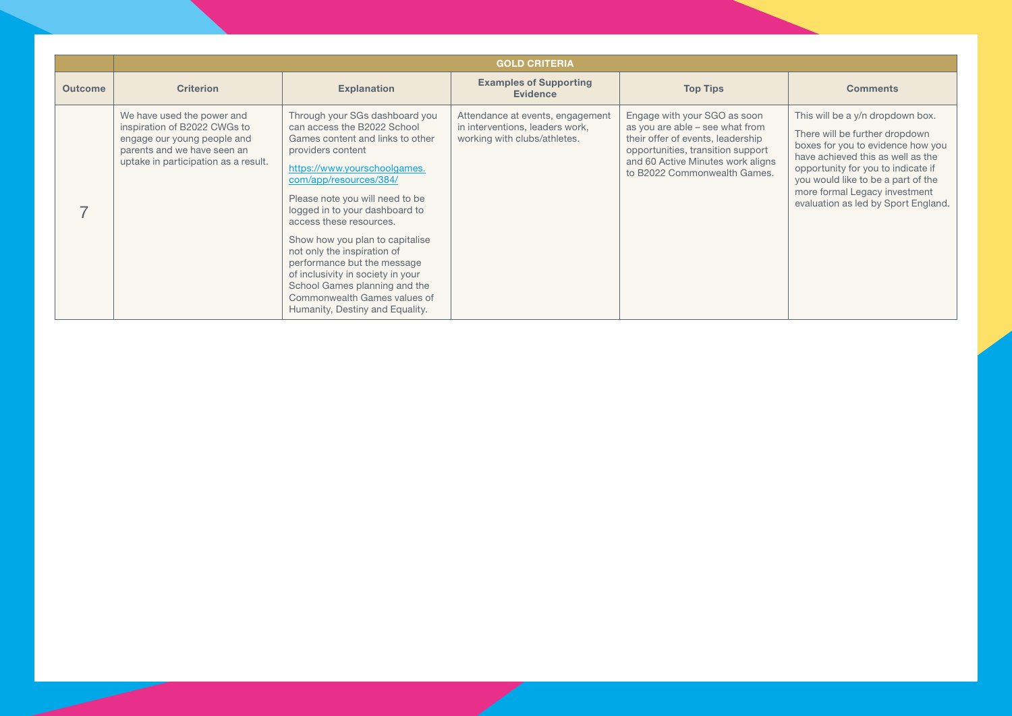|                | <b>GOLD CRITERIA</b>                                                                                                                                             |                                                                                                                                                                                                                                                                                                                                                                                                                                                                                                                            |                                                                                                     |                                                                                                                                                                                                                |                                                                                                                                                                                                                                                                                                  |  |
|----------------|------------------------------------------------------------------------------------------------------------------------------------------------------------------|----------------------------------------------------------------------------------------------------------------------------------------------------------------------------------------------------------------------------------------------------------------------------------------------------------------------------------------------------------------------------------------------------------------------------------------------------------------------------------------------------------------------------|-----------------------------------------------------------------------------------------------------|----------------------------------------------------------------------------------------------------------------------------------------------------------------------------------------------------------------|--------------------------------------------------------------------------------------------------------------------------------------------------------------------------------------------------------------------------------------------------------------------------------------------------|--|
| <b>Outcome</b> | <b>Criterion</b>                                                                                                                                                 | <b>Explanation</b>                                                                                                                                                                                                                                                                                                                                                                                                                                                                                                         | <b>Examples of Supporting</b><br><b>Evidence</b>                                                    | <b>Top Tips</b>                                                                                                                                                                                                | <b>Comments</b>                                                                                                                                                                                                                                                                                  |  |
|                | We have used the power and<br>inspiration of B2022 CWGs to<br>engage our young people and<br>parents and we have seen an<br>uptake in participation as a result. | Through your SGs dashboard you<br>can access the B2022 School<br>Games content and links to other<br>providers content<br>https://www.yourschoolgames.<br>com/app/resources/384/<br>Please note you will need to be<br>logged in to your dashboard to<br>access these resources.<br>Show how you plan to capitalise<br>not only the inspiration of<br>performance but the message<br>of inclusivity in society in your<br>School Games planning and the<br>Commonwealth Games values of<br>Humanity, Destiny and Equality. | Attendance at events, engagement<br>in interventions, leaders work,<br>working with clubs/athletes. | Engage with your SGO as soon<br>as you are able - see what from<br>their offer of events, leadership<br>opportunities, transition support<br>and 60 Active Minutes work aligns<br>to B2022 Commonwealth Games. | This will be a y/n dropdown box.<br>There will be further dropdown<br>boxes for you to evidence how you<br>have achieved this as well as the<br>opportunity for you to indicate if<br>you would like to be a part of the<br>more formal Legacy investment<br>evaluation as led by Sport England. |  |